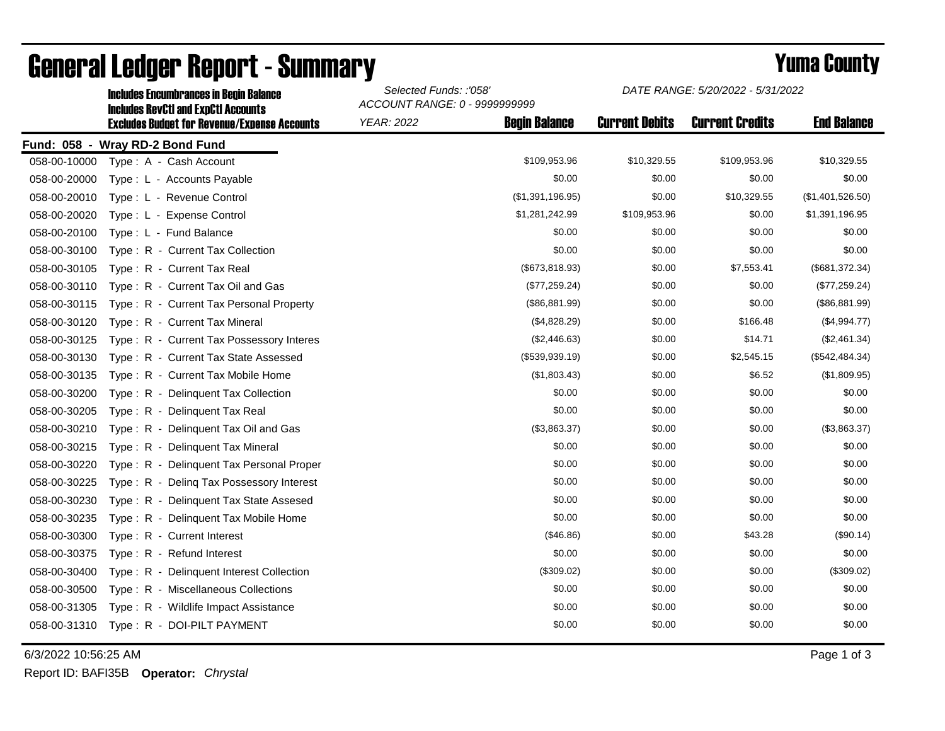|                                 | <b>Includes RevCtI and ExpCtI Accounts</b><br><b>Excludes Budget for Revenue/Expense Accounts</b> | ACCOUNT RANGE: 0 - 9999999999 |                      |                       |                        |                    |  |  |
|---------------------------------|---------------------------------------------------------------------------------------------------|-------------------------------|----------------------|-----------------------|------------------------|--------------------|--|--|
|                                 |                                                                                                   | <b>YEAR: 2022</b>             | <b>Begin Balance</b> | <b>Current Debits</b> | <b>Current Credits</b> | <b>End Balance</b> |  |  |
| Fund: 058 - Wray RD-2 Bond Fund |                                                                                                   |                               |                      |                       |                        |                    |  |  |
| 058-00-10000                    | Type: A - Cash Account                                                                            |                               | \$109,953.96         | \$10,329.55           | \$109,953.96           | \$10,329.55        |  |  |
| 058-00-20000                    | Type: L - Accounts Payable                                                                        |                               | \$0.00               | \$0.00                | \$0.00                 | \$0.00             |  |  |
| 058-00-20010                    | Type: L - Revenue Control                                                                         |                               | (\$1,391,196.95)     | \$0.00                | \$10,329.55            | (\$1,401,526.50)   |  |  |
| 058-00-20020                    | Type: L - Expense Control                                                                         |                               | \$1,281,242.99       | \$109,953.96          | \$0.00                 | \$1,391,196.95     |  |  |
| 058-00-20100                    | Type: L - Fund Balance                                                                            |                               | \$0.00               | \$0.00                | \$0.00                 | \$0.00             |  |  |
| 058-00-30100                    | Type: R - Current Tax Collection                                                                  |                               | \$0.00               | \$0.00                | \$0.00                 | \$0.00             |  |  |
| 058-00-30105                    | Type: R - Current Tax Real                                                                        |                               | (\$673, 818.93)      | \$0.00                | \$7,553.41             | (\$681,372.34)     |  |  |
| 058-00-30110                    | Type: R - Current Tax Oil and Gas                                                                 |                               | (\$77,259.24)        | \$0.00                | \$0.00                 | (\$77,259.24)      |  |  |
| 058-00-30115                    | Type: R - Current Tax Personal Property                                                           |                               | (\$86,881.99)        | \$0.00                | \$0.00                 | (\$86,881.99)      |  |  |
| 058-00-30120                    | Type: R - Current Tax Mineral                                                                     |                               | (\$4,828.29)         | \$0.00                | \$166.48               | (\$4,994.77)       |  |  |
| 058-00-30125                    | Type: R - Current Tax Possessory Interes                                                          |                               | (\$2,446.63)         | \$0.00                | \$14.71                | (\$2,461.34)       |  |  |
| 058-00-30130                    | Type: R - Current Tax State Assessed                                                              |                               | (\$539,939.19)       | \$0.00                | \$2,545.15             | (\$542,484.34)     |  |  |
| 058-00-30135                    | Type: R - Current Tax Mobile Home                                                                 |                               | (\$1,803.43)         | \$0.00                | \$6.52                 | (\$1,809.95)       |  |  |
| 058-00-30200                    | Type: R - Delinquent Tax Collection                                                               |                               | \$0.00               | \$0.00                | \$0.00                 | \$0.00             |  |  |
| 058-00-30205                    | Type: R - Delinquent Tax Real                                                                     |                               | \$0.00               | \$0.00                | \$0.00                 | \$0.00             |  |  |
| 058-00-30210                    | Type: R - Delinquent Tax Oil and Gas                                                              |                               | (\$3,863.37)         | \$0.00                | \$0.00                 | (\$3,863.37)       |  |  |
| 058-00-30215                    | $Type: R -$<br>Delinquent Tax Mineral                                                             |                               | \$0.00               | \$0.00                | \$0.00                 | \$0.00             |  |  |
| 058-00-30220                    | Type: R - Delinquent Tax Personal Proper                                                          |                               | \$0.00               | \$0.00                | \$0.00                 | \$0.00             |  |  |
| 058-00-30225                    | Type: R - Deling Tax Possessory Interest                                                          |                               | \$0.00               | \$0.00                | \$0.00                 | \$0.00             |  |  |
| 058-00-30230                    | Type: R - Delinquent Tax State Assesed                                                            |                               | \$0.00               | \$0.00                | \$0.00                 | \$0.00             |  |  |
| 058-00-30235                    | Type: R - Delinquent Tax Mobile Home                                                              |                               | \$0.00               | \$0.00                | \$0.00                 | \$0.00             |  |  |
| 058-00-30300                    | Type: R - Current Interest                                                                        |                               | (\$46.86)            | \$0.00                | \$43.28                | (\$90.14)          |  |  |
| 058-00-30375                    | Type: R - Refund Interest                                                                         |                               | \$0.00               | \$0.00                | \$0.00                 | \$0.00             |  |  |
| 058-00-30400                    | Type: R - Delinquent Interest Collection                                                          |                               | (\$309.02)           | \$0.00                | \$0.00                 | (\$309.02)         |  |  |
| 058-00-30500                    | Type: R - Miscellaneous Collections                                                               |                               | \$0.00               | \$0.00                | \$0.00                 | \$0.00             |  |  |
| 058-00-31305                    | Type: R - Wildlife Impact Assistance                                                              |                               | \$0.00               | \$0.00                | \$0.00                 | \$0.00             |  |  |
| 058-00-31310                    | Type: R - DOI-PILT PAYMENT                                                                        |                               | \$0.00               | \$0.00                | \$0.00                 | \$0.00             |  |  |

## General Ledger Report - Summary **Example 2018** Yuma County

Includes Encumbrances in Begin Balance *Selected Funds: :'058'*

6/3/2022 10:56:25 AM Page 1 of 3

Report ID: BAFI35B **Operator:** *Chrystal*

*DATE RANGE: 5/20/2022 - 5/31/2022*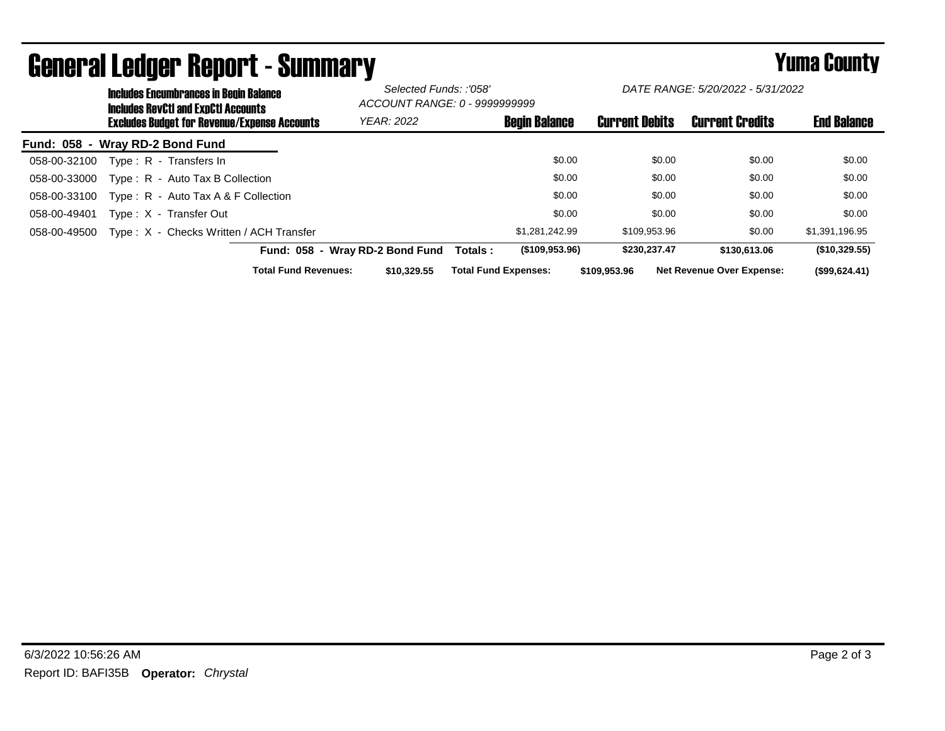|                                 | <b>Includes Encumbrances in Begin Balance</b><br><b>Includes RevCtI and ExpCtI Accounts</b> |                                                     | Selected Funds: :'058'<br>ACCOUNT RANGE: 0 - 9999999999 |                               | DATE RANGE: 5/20/2022 - 5/31/2022 |                                  |                    |
|---------------------------------|---------------------------------------------------------------------------------------------|-----------------------------------------------------|---------------------------------------------------------|-------------------------------|-----------------------------------|----------------------------------|--------------------|
|                                 |                                                                                             | <b>Excludes Budget for Revenue/Expense Accounts</b> | <b>YEAR: 2022</b>                                       | <b>Begin Balance</b>          | <b>Current Debits</b>             | <b>Current Credits</b>           | <b>End Balance</b> |
| Fund: 058 - Wray RD-2 Bond Fund |                                                                                             |                                                     |                                                         |                               |                                   |                                  |                    |
| 058-00-32100                    |                                                                                             | Type: R - Transfers In                              |                                                         | \$0.00                        | \$0.00                            | \$0.00                           | \$0.00             |
| 058-00-33000                    |                                                                                             | Type: R - Auto Tax B Collection                     |                                                         | \$0.00                        | \$0.00                            | \$0.00                           | \$0.00             |
| 058-00-33100                    |                                                                                             | Type: $R -$ Auto Tax A & F Collection               |                                                         | \$0.00                        | \$0.00                            | \$0.00                           | \$0.00             |
| 058-00-49401                    |                                                                                             | Type: X - Transfer Out                              |                                                         | \$0.00                        | \$0.00                            | \$0.00                           | \$0.00             |
| 058-00-49500                    |                                                                                             | Type: X - Checks Written / ACH Transfer             |                                                         | \$1.281.242.99                | \$109,953.96                      | \$0.00                           | \$1,391,196.95     |
|                                 |                                                                                             |                                                     | Fund: 058 - Wray RD-2 Bond Fund                         | $($ \$109,953.96)<br>Totals : | \$230,237.47                      | \$130,613,06                     | (\$10,329.55)      |
|                                 |                                                                                             | <b>Total Fund Revenues:</b>                         | \$10,329.55                                             | <b>Total Fund Expenses:</b>   | \$109,953,96                      | <b>Net Revenue Over Expense:</b> | (\$99,624.41)      |

## General Ledger Report - Summary **Summary Report - Summary**